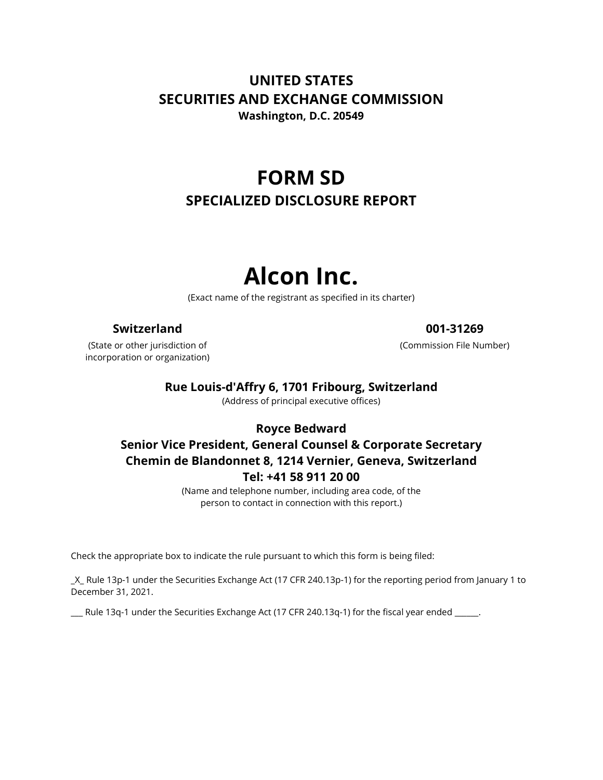# **UNITED STATES SECURITIES AND EXCHANGE COMMISSION Washington, D.C. 20549**

**FORM SD SPECIALIZED DISCLOSURE REPORT**

# **Alcon Inc.**

(Exact name of the registrant as specified in its charter)

## **Switzerland 001-31269**

(State or other jurisdiction of incorporation or organization)

(Commission File Number)

## **Rue Louis-d'Affry 6, 1701 Fribourg, Switzerland**

(Address of principal executive offices)

## **Royce Bedward**

# **Senior Vice President, General Counsel & Corporate Secretary Chemin de Blandonnet 8, 1214 Vernier, Geneva, Switzerland Tel: +41 58 911 20 00**

(Name and telephone number, including area code, of the person to contact in connection with this report.)

Check the appropriate box to indicate the rule pursuant to which this form is being filed:

\_X\_ Rule 13p-1 under the Securities Exchange Act (17 CFR 240.13p-1) for the reporting period from January 1 to December 31, 2021.

\_\_\_ Rule 13q-1 under the Securities Exchange Act (17 CFR 240.13q-1) for the fiscal year ended \_\_\_\_\_\_.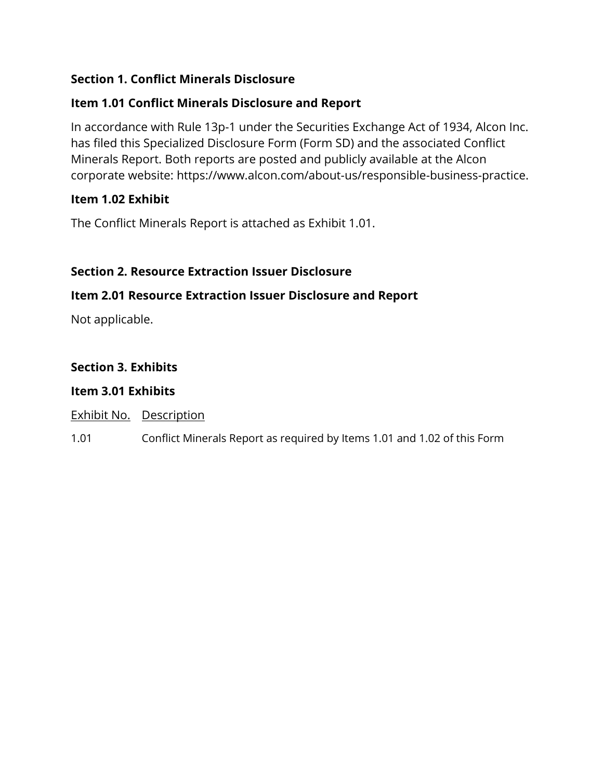# **Section 1. Conflict Minerals Disclosure**

# **Item 1.01 Conflict Minerals Disclosure and Report**

In accordance with Rule 13p-1 under the Securities Exchange Act of 1934, Alcon Inc. has filed this Specialized Disclosure Form (Form SD) and the associated Conflict Minerals Report. Both reports are posted and publicly available at the Alcon corporate website: https://www.alcon.com/about-us/responsible-business-practice.

# **Item 1.02 Exhibit**

The Conflict Minerals Report is attached as Exhibit 1.01.

# **Section 2. Resource Extraction Issuer Disclosure**

## **Item 2.01 Resource Extraction Issuer Disclosure and Report**

Not applicable.

# **Section 3. Exhibits**

## **Item 3.01 Exhibits**

Exhibit No. Description

1.01 Conflict Minerals Report as required by Items 1.01 and 1.02 of this Form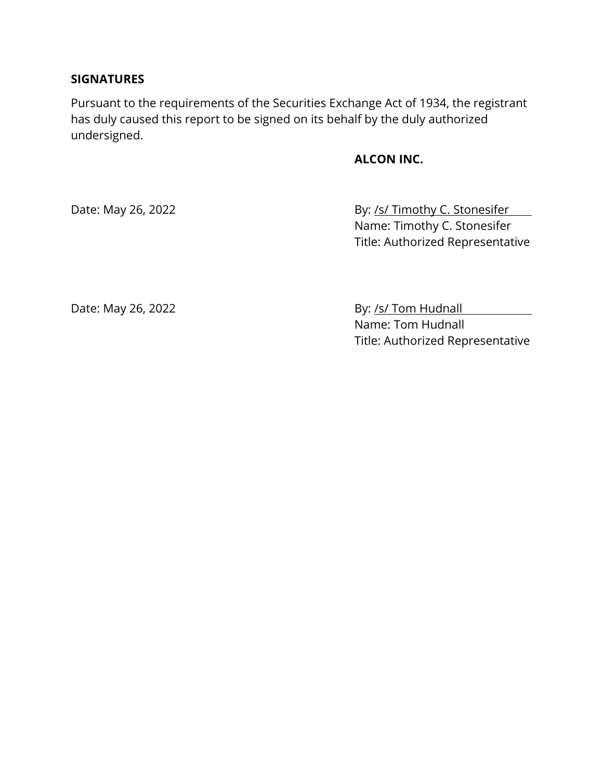### **SIGNATURES**

Pursuant to the requirements of the Securities Exchange Act of 1934, the registrant has duly caused this report to be signed on its behalf by the duly authorized undersigned.

## **ALCON INC.**

Date: May 26, 2022 **By: /s/ Timothy C. Stonesifer** Name: Timothy C. Stonesifer Title: Authorized Representative

Date: May 26, 2022 **By: /s/ Tom Hudnall** Name: Tom Hudnall Title: Authorized Representative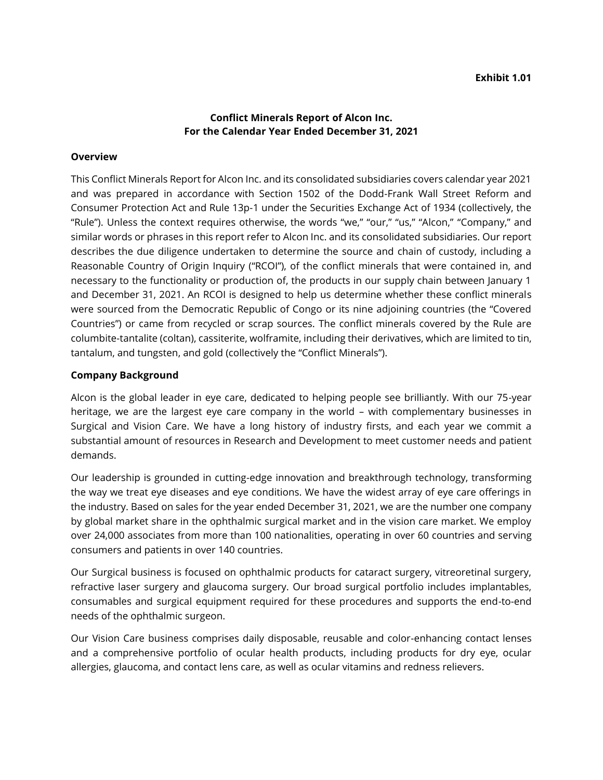#### **Conflict Minerals Report of Alcon Inc. For the Calendar Year Ended December 31, 2021**

#### **Overview**

This Conflict Minerals Report for Alcon Inc. and its consolidated subsidiaries covers calendar year 2021 and was prepared in accordance with Section 1502 of the Dodd-Frank Wall Street Reform and Consumer Protection Act and Rule 13p-1 under the Securities Exchange Act of 1934 (collectively, the "Rule"). Unless the context requires otherwise, the words "we," "our," "us," "Alcon," "Company," and similar words or phrases in this report refer to Alcon Inc. and its consolidated subsidiaries. Our report describes the due diligence undertaken to determine the source and chain of custody, including a Reasonable Country of Origin Inquiry ("RCOI"), of the conflict minerals that were contained in, and necessary to the functionality or production of, the products in our supply chain between January 1 and December 31, 2021. An RCOI is designed to help us determine whether these conflict minerals were sourced from the Democratic Republic of Congo or its nine adjoining countries (the "Covered Countries") or came from recycled or scrap sources. The conflict minerals covered by the Rule are columbite-tantalite (coltan), cassiterite, wolframite, including their derivatives, which are limited to tin, tantalum, and tungsten, and gold (collectively the "Conflict Minerals").

#### **Company Background**

Alcon is the global leader in eye care, dedicated to helping people see brilliantly. With our 75-year heritage, we are the largest eye care company in the world – with complementary businesses in Surgical and Vision Care. We have a long history of industry firsts, and each year we commit a substantial amount of resources in Research and Development to meet customer needs and patient demands.

Our leadership is grounded in cutting-edge innovation and breakthrough technology, transforming the way we treat eye diseases and eye conditions. We have the widest array of eye care offerings in the industry. Based on sales for the year ended December 31, 2021, we are the number one company by global market share in the ophthalmic surgical market and in the vision care market. We employ over 24,000 associates from more than 100 nationalities, operating in over 60 countries and serving consumers and patients in over 140 countries.

Our Surgical business is focused on ophthalmic products for cataract surgery, vitreoretinal surgery, refractive laser surgery and glaucoma surgery. Our broad surgical portfolio includes implantables, consumables and surgical equipment required for these procedures and supports the end-to-end needs of the ophthalmic surgeon.

Our Vision Care business comprises daily disposable, reusable and color-enhancing contact lenses and a comprehensive portfolio of ocular health products, including products for dry eye, ocular allergies, glaucoma, and contact lens care, as well as ocular vitamins and redness relievers.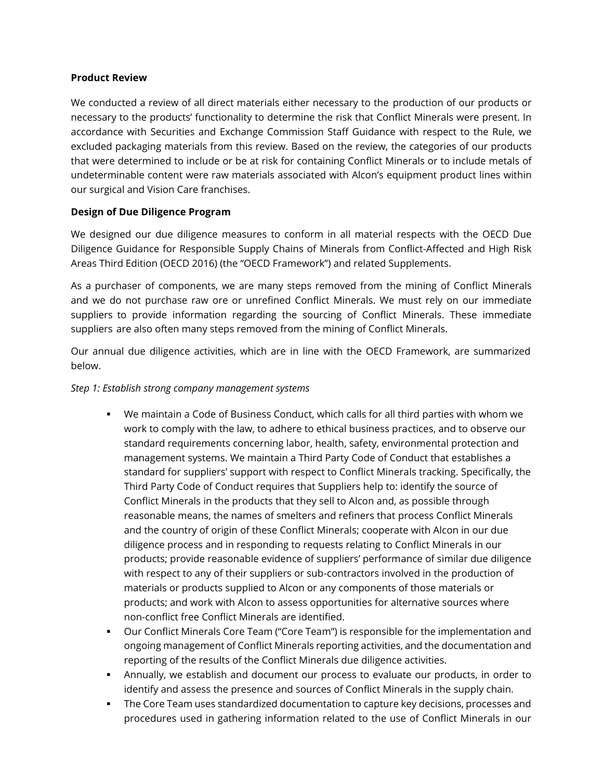#### **Product Review**

We conducted a review of all direct materials either necessary to the production of our products or necessary to the products' functionality to determine the risk that Conflict Minerals were present. In accordance with Securities and Exchange Commission Staff Guidance with respect to the Rule, we excluded packaging materials from this review. Based on the review, the categories of our products that were determined to include or be at risk for containing Conflict Minerals or to include metals of undeterminable content were raw materials associated with Alcon's equipment product lines within our surgical and Vision Care franchises.

#### **Design of Due Diligence Program**

We designed our due diligence measures to conform in all material respects with the OECD Due Diligence Guidance for Responsible Supply Chains of Minerals from Conflict-Affected and High Risk Areas Third Edition (OECD 2016) (the "OECD Framework") and related Supplements.

As a purchaser of components, we are many steps removed from the mining of Conflict Minerals and we do not purchase raw ore or unrefined Conflict Minerals. We must rely on our immediate suppliers to provide information regarding the sourcing of Conflict Minerals. These immediate suppliers are also often many steps removed from the mining of Conflict Minerals.

Our annual due diligence activities, which are in line with the OECD Framework, are summarized below.

#### *Step 1: Establish strong company management systems*

- We maintain a Code of Business Conduct, which calls for all third parties with whom we work to comply with the law, to adhere to ethical business practices, and to observe our standard requirements concerning labor, health, safety, environmental protection and management systems. We maintain a Third Party Code of Conduct that establishes a standard for suppliers' support with respect to Conflict Minerals tracking. Specifically, the Third Party Code of Conduct requires that Suppliers help to: identify the source of Conflict Minerals in the products that they sell to Alcon and, as possible through reasonable means, the names of smelters and refiners that process Conflict Minerals and the country of origin of these Conflict Minerals; cooperate with Alcon in our due diligence process and in responding to requests relating to Conflict Minerals in our products; provide reasonable evidence of suppliers' performance of similar due diligence with respect to any of their suppliers or sub-contractors involved in the production of materials or products supplied to Alcon or any components of those materials or products; and work with Alcon to assess opportunities for alternative sources where non-conflict free Conflict Minerals are identified.
- Our Conflict Minerals Core Team ("Core Team") is responsible for the implementation and ongoing management of Conflict Minerals reporting activities, and the documentation and reporting of the results of the Conflict Minerals due diligence activities.
- **•** Annually, we establish and document our process to evaluate our products, in order to identify and assess the presence and sources of Conflict Minerals in the supply chain.
- **The Core Team uses standardized documentation to capture key decisions, processes and** procedures used in gathering information related to the use of Conflict Minerals in our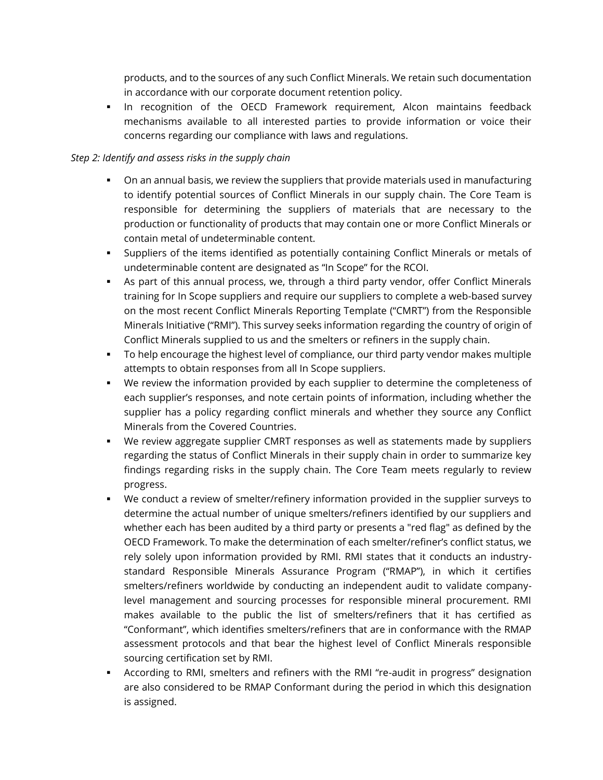products, and to the sources of any such Conflict Minerals. We retain such documentation in accordance with our corporate document retention policy.

▪ In recognition of the OECD Framework requirement, Alcon maintains feedback mechanisms available to all interested parties to provide information or voice their concerns regarding our compliance with laws and regulations.

#### *Step 2: Identify and assess risks in the supply chain*

- **•** On an annual basis, we review the suppliers that provide materials used in manufacturing to identify potential sources of Conflict Minerals in our supply chain. The Core Team is responsible for determining the suppliers of materials that are necessary to the production or functionality of products that may contain one or more Conflict Minerals or contain metal of undeterminable content.
- Suppliers of the items identified as potentially containing Conflict Minerals or metals of undeterminable content are designated as "In Scope" for the RCOI.
- **EXECT** As part of this annual process, we, through a third party vendor, offer Conflict Minerals training for In Scope suppliers and require our suppliers to complete a web-based survey on the most recent Conflict Minerals Reporting Template ("CMRT") from the Responsible Minerals Initiative ("RMI"). This survey seeks information regarding the country of origin of Conflict Minerals supplied to us and the smelters or refiners in the supply chain.
- To help encourage the highest level of compliance, our third party vendor makes multiple attempts to obtain responses from all In Scope suppliers.
- We review the information provided by each supplier to determine the completeness of each supplier's responses, and note certain points of information, including whether the supplier has a policy regarding conflict minerals and whether they source any Conflict Minerals from the Covered Countries.
- **•** We review aggregate supplier CMRT responses as well as statements made by suppliers regarding the status of Conflict Minerals in their supply chain in order to summarize key findings regarding risks in the supply chain. The Core Team meets regularly to review progress.
- We conduct a review of smelter/refinery information provided in the supplier surveys to determine the actual number of unique smelters/refiners identified by our suppliers and whether each has been audited by a third party or presents a "red flag" as defined by the OECD Framework. To make the determination of each smelter/refiner's conflict status, we rely solely upon information provided by RMI. RMI states that it conducts an industrystandard Responsible Minerals Assurance Program ("RMAP"), in which it certifies smelters/refiners worldwide by conducting an independent audit to validate companylevel management and sourcing processes for responsible mineral procurement. RMI makes available to the public the list of smelters/refiners that it has certified as "Conformant", which identifies smelters/refiners that are in conformance with the RMAP assessment protocols and that bear the highest level of Conflict Minerals responsible sourcing certification set by RMI.
- According to RMI, smelters and refiners with the RMI "re-audit in progress" designation are also considered to be RMAP Conformant during the period in which this designation is assigned.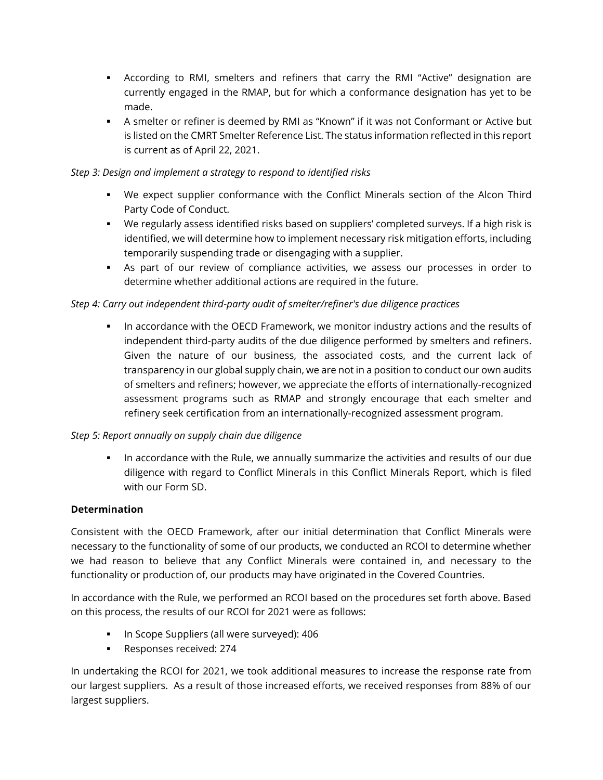- According to RMI, smelters and refiners that carry the RMI "Active" designation are currently engaged in the RMAP, but for which a conformance designation has yet to be made.
- **EXECT** A smelter or refiner is deemed by RMI as "Known" if it was not Conformant or Active but is listed on the CMRT Smelter Reference List. The status information reflected in this report is current as of April 22, 2021.

#### *Step 3: Design and implement a strategy to respond to identified risks*

- We expect supplier conformance with the Conflict Minerals section of the Alcon Third Party Code of Conduct.
- We regularly assess identified risks based on suppliers' completed surveys. If a high risk is identified, we will determine how to implement necessary risk mitigation efforts, including temporarily suspending trade or disengaging with a supplier.
- As part of our review of compliance activities, we assess our processes in order to determine whether additional actions are required in the future.

#### *Step 4: Carry out independent third-party audit of smelter/refiner's due diligence practices*

**.** In accordance with the OECD Framework, we monitor industry actions and the results of independent third-party audits of the due diligence performed by smelters and refiners. Given the nature of our business, the associated costs, and the current lack of transparency in our global supply chain, we are not in a position to conduct our own audits of smelters and refiners; however, we appreciate the efforts of internationally-recognized assessment programs such as RMAP and strongly encourage that each smelter and refinery seek certification from an internationally-recognized assessment program.

#### *Step 5: Report annually on supply chain due diligence*

**.** In accordance with the Rule, we annually summarize the activities and results of our due diligence with regard to Conflict Minerals in this Conflict Minerals Report, which is filed with our Form SD.

#### **Determination**

Consistent with the OECD Framework, after our initial determination that Conflict Minerals were necessary to the functionality of some of our products, we conducted an RCOI to determine whether we had reason to believe that any Conflict Minerals were contained in, and necessary to the functionality or production of, our products may have originated in the Covered Countries.

In accordance with the Rule, we performed an RCOI based on the procedures set forth above. Based on this process, the results of our RCOI for 2021 were as follows:

- In Scope Suppliers (all were surveyed): 406
- Responses received: 274

In undertaking the RCOI for 2021, we took additional measures to increase the response rate from our largest suppliers. As a result of those increased efforts, we received responses from 88% of our largest suppliers.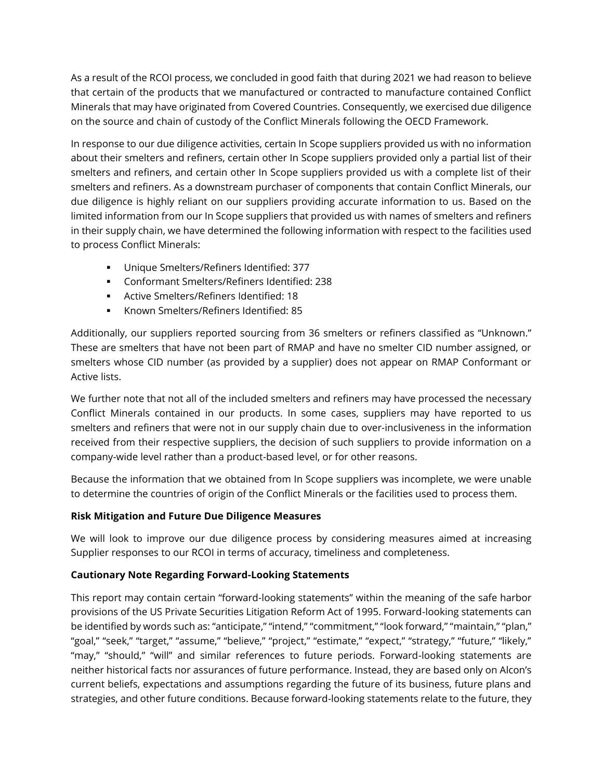As a result of the RCOI process, we concluded in good faith that during 2021 we had reason to believe that certain of the products that we manufactured or contracted to manufacture contained Conflict Minerals that may have originated from Covered Countries. Consequently, we exercised due diligence on the source and chain of custody of the Conflict Minerals following the OECD Framework.

In response to our due diligence activities, certain In Scope suppliers provided us with no information about their smelters and refiners, certain other In Scope suppliers provided only a partial list of their smelters and refiners, and certain other In Scope suppliers provided us with a complete list of their smelters and refiners. As a downstream purchaser of components that contain Conflict Minerals, our due diligence is highly reliant on our suppliers providing accurate information to us. Based on the limited information from our In Scope suppliers that provided us with names of smelters and refiners in their supply chain, we have determined the following information with respect to the facilities used to process Conflict Minerals:

- Unique Smelters/Refiners Identified: 377
- Conformant Smelters/Refiners Identified: 238
- Active Smelters/Refiners Identified: 18
- Known Smelters/Refiners Identified: 85

Additionally, our suppliers reported sourcing from 36 smelters or refiners classified as "Unknown." These are smelters that have not been part of RMAP and have no smelter CID number assigned, or smelters whose CID number (as provided by a supplier) does not appear on RMAP Conformant or Active lists.

We further note that not all of the included smelters and refiners may have processed the necessary Conflict Minerals contained in our products. In some cases, suppliers may have reported to us smelters and refiners that were not in our supply chain due to over-inclusiveness in the information received from their respective suppliers, the decision of such suppliers to provide information on a company-wide level rather than a product-based level, or for other reasons.

Because the information that we obtained from In Scope suppliers was incomplete, we were unable to determine the countries of origin of the Conflict Minerals or the facilities used to process them.

#### **Risk Mitigation and Future Due Diligence Measures**

We will look to improve our due diligence process by considering measures aimed at increasing Supplier responses to our RCOI in terms of accuracy, timeliness and completeness.

#### **Cautionary Note Regarding Forward-Looking Statements**

This report may contain certain "forward-looking statements" within the meaning of the safe harbor provisions of the US Private Securities Litigation Reform Act of 1995. Forward-looking statements can be identified by words such as: "anticipate," "intend," "commitment," "look forward," "maintain," "plan," "goal," "seek," "target," "assume," "believe," "project," "estimate," "expect," "strategy," "future," "likely," "may," "should," "will" and similar references to future periods. Forward-looking statements are neither historical facts nor assurances of future performance. Instead, they are based only on Alcon's current beliefs, expectations and assumptions regarding the future of its business, future plans and strategies, and other future conditions. Because forward-looking statements relate to the future, they